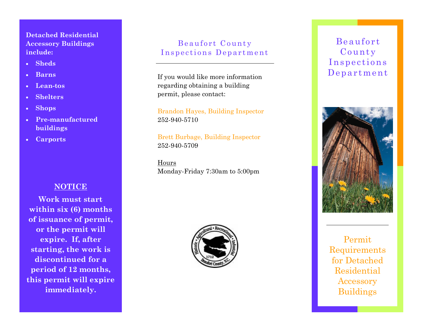### **Detached Residential Accessory Buildings include:**

- · **Sheds**
- · **Barns**
- · **Lean-tos**
- · **Shelters**
- · **Shops**
- · **Pre-manufactured buildings**
- · **Carports**

## **NOTICE**

**Work must start within six (6) months of issuance of permit, or the permit will expire. If, after starting, the work is discontinued for a period of 12 months, this permit will expire immediately.**

## Beaufort County Inspections Department

If you would like more information regarding obtaining a building permit, please contact:

Brandon Hayes, Building Inspector 252-940-5710

Brett Burbage, Building Inspector 252-940-5709

Hours Monday-Friday 7:30am to 5:00pm



## Be aufo rt County **Inspections** De p artme nt



Permit Requirements for Detached Residential Accessory Buildings